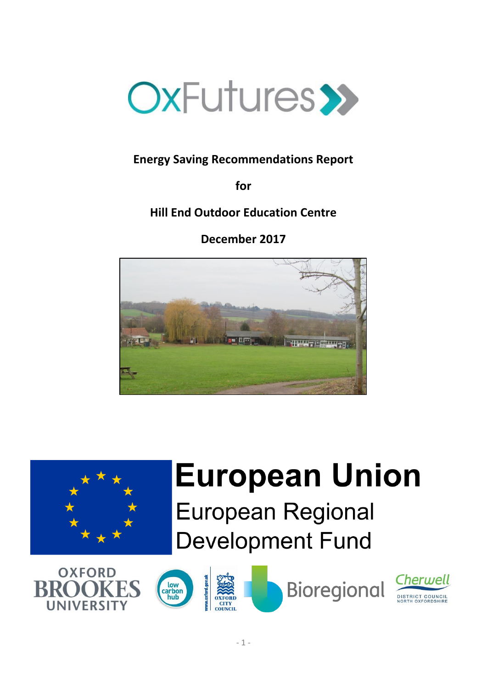

# **Energy Saving Recommendations Report**

**for**

**Hill End Outdoor Education Centre**

**December 2017**





# **European Union**

**European Regional Development Fund** 





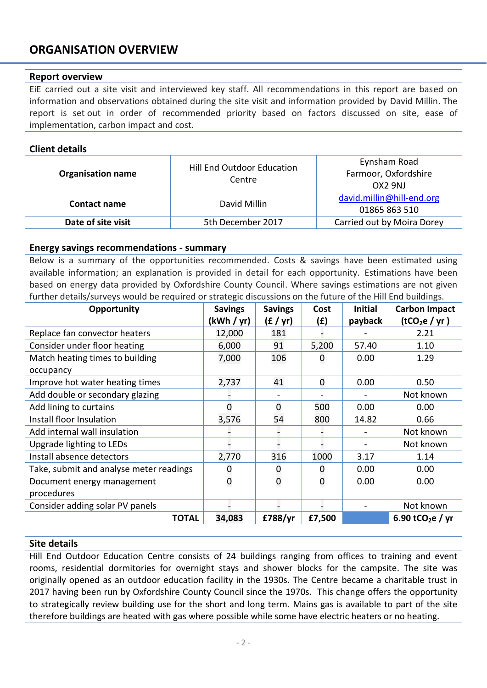# **ORGANISATION OVERVIEW**

#### **Report overview**

EiE carried out a site visit and interviewed key staff. All recommendations in this report are based on information and observations obtained during the site visit and information provided by David Millin. The report is set out in order of recommended priority based on factors discussed on site, ease of implementation, carbon impact and cost.

#### **Client details**

| <b>Organisation name</b> | Hill End Outdoor Education<br>Centre | Eynsham Road<br>Farmoor, Oxfordshire<br>OX2 9NJ |
|--------------------------|--------------------------------------|-------------------------------------------------|
| Contact name             | David Millin                         | david.millin@hill-end.org<br>01865 863 510      |
| Date of site visit       | 5th December 2017                    | Carried out by Moira Dorey                      |

#### **Energy savings recommendations - summary**

Below is a summary of the opportunities recommended. Costs & savings have been estimated using available information; an explanation is provided in detail for each opportunity. Estimations have been based on energy data provided by Oxfordshire County Council. Where savings estimations are not given further details/surveys would be required or strategic discussions on the future of the Hill End buildings.

| Opportunity                             | <b>Savings</b> | <b>Savings</b> | Cost           | <b>Initial</b> | <b>Carbon Impact</b>         |
|-----------------------------------------|----------------|----------------|----------------|----------------|------------------------------|
|                                         | (kWh / yr)     | (E / yr)       | (E)            | payback        | (tCO <sub>2</sub> e / yr)    |
| Replace fan convector heaters           | 12,000         | 181            |                |                | 2.21                         |
| Consider under floor heating            | 6,000          | 91             | 5,200          | 57.40          | 1.10                         |
| Match heating times to building         | 7,000          | 106            | 0              | 0.00           | 1.29                         |
| occupancy                               |                |                |                |                |                              |
| Improve hot water heating times         | 2,737          | 41             | $\overline{0}$ | 0.00           | 0.50                         |
| Add double or secondary glazing         |                |                |                |                | Not known                    |
| Add lining to curtains                  | $\Omega$       | 0              | 500            | 0.00           | 0.00                         |
| Install floor Insulation                | 3,576          | 54             | 800            | 14.82          | 0.66                         |
| Add internal wall insulation            |                |                |                |                | Not known                    |
| Upgrade lighting to LEDs                |                |                |                |                | Not known                    |
| Install absence detectors               | 2,770          | 316            | 1000           | 3.17           | 1.14                         |
| Take, submit and analyse meter readings | 0              | 0              | 0              | 0.00           | 0.00                         |
| Document energy management              | $\mathbf 0$    | 0              | $\mathbf 0$    | 0.00           | 0.00                         |
| procedures                              |                |                |                |                |                              |
| Consider adding solar PV panels         |                |                |                |                | Not known                    |
| <b>TOTAL</b>                            | 34,083         | £788/yr        | £7,500         |                | 6.90 tCO <sub>2</sub> e / yr |

#### **Site details**

Hill End Outdoor Education Centre consists of 24 buildings ranging from offices to training and event rooms, residential dormitories for overnight stays and shower blocks for the campsite. The site was originally opened as an outdoor education facility in the 1930s. The Centre became a charitable trust in 2017 having been run by Oxfordshire County Council since the 1970s. This change offers the opportunity to strategically review building use for the short and long term. Mains gas is available to part of the site therefore buildings are heated with gas where possible while some have electric heaters or no heating.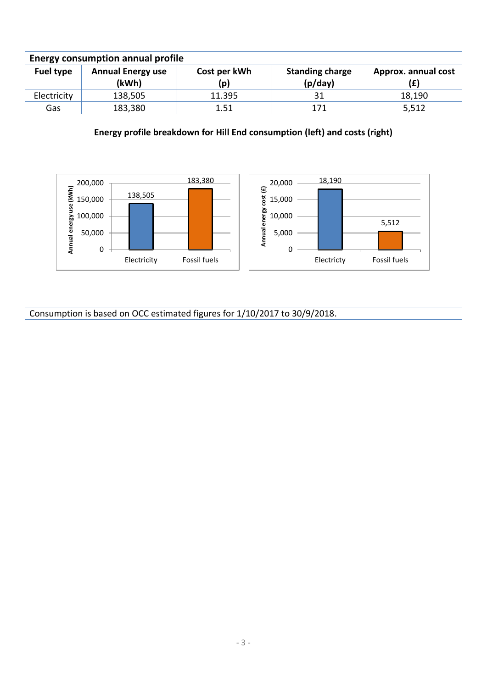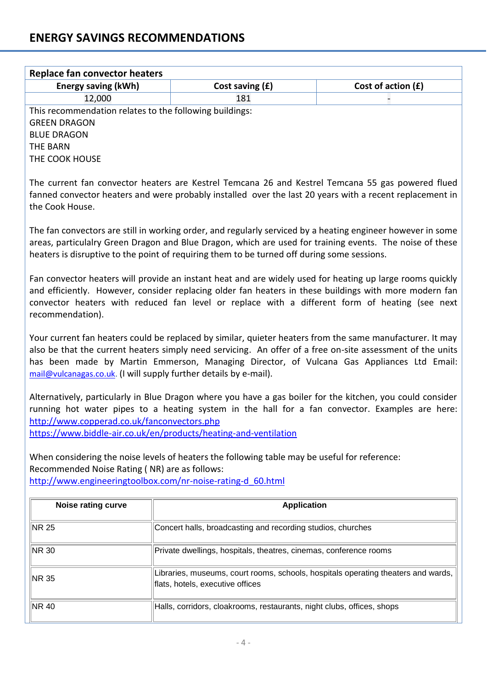| <b>Replace fan convector heaters</b>                                                                                                                                                                                                                                                                                                                                                      |                                                                                                                                                                                                                                                                                                                        |                    |  |
|-------------------------------------------------------------------------------------------------------------------------------------------------------------------------------------------------------------------------------------------------------------------------------------------------------------------------------------------------------------------------------------------|------------------------------------------------------------------------------------------------------------------------------------------------------------------------------------------------------------------------------------------------------------------------------------------------------------------------|--------------------|--|
| <b>Energy saving (kWh)</b>                                                                                                                                                                                                                                                                                                                                                                | Cost saving (£)                                                                                                                                                                                                                                                                                                        | Cost of action (£) |  |
| 12,000                                                                                                                                                                                                                                                                                                                                                                                    | 181                                                                                                                                                                                                                                                                                                                    |                    |  |
| This recommendation relates to the following buildings:<br><b>GREEN DRAGON</b><br><b>BLUE DRAGON</b><br><b>THE BARN</b><br>THE COOK HOUSE                                                                                                                                                                                                                                                 |                                                                                                                                                                                                                                                                                                                        |                    |  |
| the Cook House.                                                                                                                                                                                                                                                                                                                                                                           | The current fan convector heaters are Kestrel Temcana 26 and Kestrel Temcana 55 gas powered flued<br>fanned convector heaters and were probably installed over the last 20 years with a recent replacement in                                                                                                          |                    |  |
|                                                                                                                                                                                                                                                                                                                                                                                           | The fan convectors are still in working order, and regularly serviced by a heating engineer however in some<br>areas, particulalry Green Dragon and Blue Dragon, which are used for training events. The noise of these<br>heaters is disruptive to the point of requiring them to be turned off during some sessions. |                    |  |
| Fan convector heaters will provide an instant heat and are widely used for heating up large rooms quickly<br>and efficiently. However, consider replacing older fan heaters in these buildings with more modern fan<br>convector heaters with reduced fan level or replace with a different form of heating (see next<br>recommendation).                                                 |                                                                                                                                                                                                                                                                                                                        |                    |  |
| Your current fan heaters could be replaced by similar, quieter heaters from the same manufacturer. It may<br>also be that the current heaters simply need servicing. An offer of a free on-site assessment of the units<br>has been made by Martin Emmerson, Managing Director, of Vulcana Gas Appliances Ltd Email:<br>mail@vulcanagas.co.uk. (I will supply further details by e-mail). |                                                                                                                                                                                                                                                                                                                        |                    |  |
| Alternatively, particularly in Blue Dragon where you have a gas boiler for the kitchen, you could consider<br>running hot water pipes to a heating system in the hall for a fan convector. Examples are here:<br>http://www.copperad.co.uk/fanconvectors.php<br>https://www.biddle-air.co.uk/en/products/heating-and-ventilation                                                          |                                                                                                                                                                                                                                                                                                                        |                    |  |
| When considering the noise levels of heaters the following table may be useful for reference:<br>Recommended Noise Rating (NR) are as follows:<br>http://www.engineeringtoolbox.com/nr-noise-rating-d 60.html                                                                                                                                                                             |                                                                                                                                                                                                                                                                                                                        |                    |  |
| <b>Noise rating curve</b>                                                                                                                                                                                                                                                                                                                                                                 | <b>Application</b>                                                                                                                                                                                                                                                                                                     |                    |  |
| NR 25                                                                                                                                                                                                                                                                                                                                                                                     | Concert halls, broadcasting and recording studios, churches                                                                                                                                                                                                                                                            |                    |  |
| NR 30                                                                                                                                                                                                                                                                                                                                                                                     | Private dwellings, hospitals, theatres, cinemas, conference rooms                                                                                                                                                                                                                                                      |                    |  |
| Libraries, museums, court rooms, schools, hospitals operating theaters and wards,<br>NR 35<br>flats, hotels, executive offices                                                                                                                                                                                                                                                            |                                                                                                                                                                                                                                                                                                                        |                    |  |
| NR 40<br>Halls, corridors, cloakrooms, restaurants, night clubs, offices, shops                                                                                                                                                                                                                                                                                                           |                                                                                                                                                                                                                                                                                                                        |                    |  |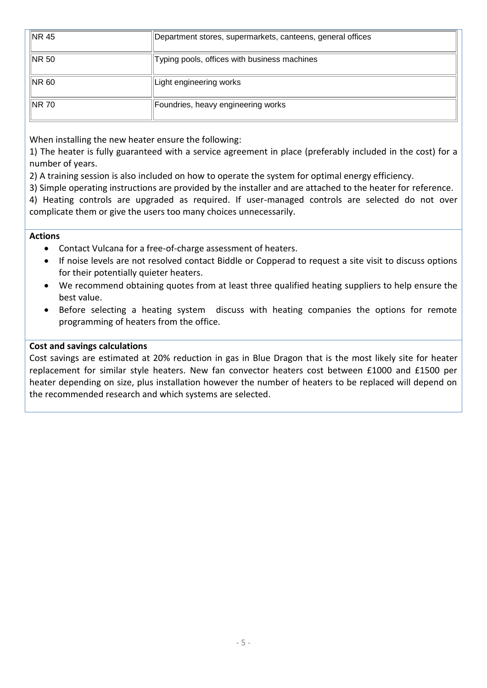| $\parallel$ NR 45 | Department stores, supermarkets, canteens, general offices |
|-------------------|------------------------------------------------------------|
| $\parallel$ NR 50 | Typing pools, offices with business machines               |
| NR 60             | Light engineering works                                    |
| ∥NR 70            | Foundries, heavy engineering works                         |

When installing the new heater ensure the following:

1) The heater is fully guaranteed with a service agreement in place (preferably included in the cost) for a number of years.

2) A training session is also included on how to operate the system for optimal energy efficiency.

3) Simple operating instructions are provided by the installer and are attached to the heater for reference.

4) Heating controls are upgraded as required. If user-managed controls are selected do not over complicate them or give the users too many choices unnecessarily.

#### **Actions**

- Contact Vulcana for a free-of-charge assessment of heaters.
- If noise levels are not resolved contact Biddle or Copperad to request a site visit to discuss options for their potentially quieter heaters.
- We recommend obtaining quotes from at least three qualified heating suppliers to help ensure the best value.
- Before selecting a heating system discuss with heating companies the options for remote programming of heaters from the office.

#### **Cost and savings calculations**

Cost savings are estimated at 20% reduction in gas in Blue Dragon that is the most likely site for heater replacement for similar style heaters. New fan convector heaters cost between £1000 and £1500 per heater depending on size, plus installation however the number of heaters to be replaced will depend on the recommended research and which systems are selected.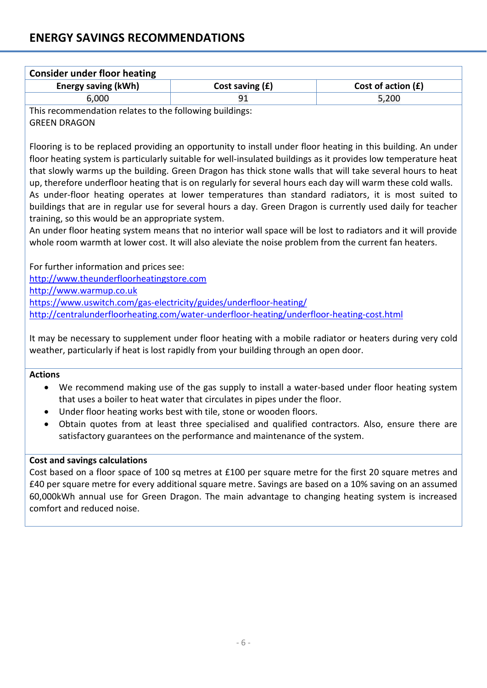| <b>Consider under floor heating</b>                     |                   |                      |  |
|---------------------------------------------------------|-------------------|----------------------|--|
| Energy saving (kWh)                                     | Cost saving $(f)$ | Cost of action $(f)$ |  |
| 6,000                                                   |                   | 5,200                |  |
| This recommendation relates to the following buildings. |                   |                      |  |

This recommendation relates to the following buildings: GREEN DRAGON

Flooring is to be replaced providing an opportunity to install under floor heating in this building. An under floor heating system is particularly suitable for well-insulated buildings as it provides low temperature heat that slowly warms up the building. Green Dragon has thick stone walls that will take several hours to heat up, therefore underfloor heating that is on regularly for several hours each day will warm these cold walls. As under-floor heating operates at lower temperatures than standard radiators, it is most suited to buildings that are in regular use for several hours a day. Green Dragon is currently used daily for teacher training, so this would be an appropriate system.

An under floor heating system means that no interior wall space will be lost to radiators and it will provide whole room warmth at lower cost. It will also aleviate the noise problem from the current fan heaters.

For further information and prices see:

[http://www.theunderfloorheatingstore.com](http://www.theunderfloorheatingstore.com/)

[http://www.warmup.co.uk](http://www.warmup.co.uk/)

<https://www.uswitch.com/gas-electricity/guides/underfloor-heating/>

<http://centralunderfloorheating.com/water-underfloor-heating/underfloor-heating-cost.html>

It may be necessary to supplement under floor heating with a mobile radiator or heaters during very cold weather, particularly if heat is lost rapidly from your building through an open door.

#### **Actions**

- We recommend making use of the gas supply to install a water-based under floor heating system that uses a boiler to heat water that circulates in pipes under the floor.
- Under floor heating works best with tile, stone or wooden floors.
- Obtain quotes from at least three specialised and qualified contractors. Also, ensure there are satisfactory guarantees on the performance and maintenance of the system.

#### **Cost and savings calculations**

Cost based on a floor space of 100 sq metres at £100 per square metre for the first 20 square metres and £40 per square metre for every additional square metre. Savings are based on a 10% saving on an assumed 60,000kWh annual use for Green Dragon. The main advantage to changing heating system is increased comfort and reduced noise.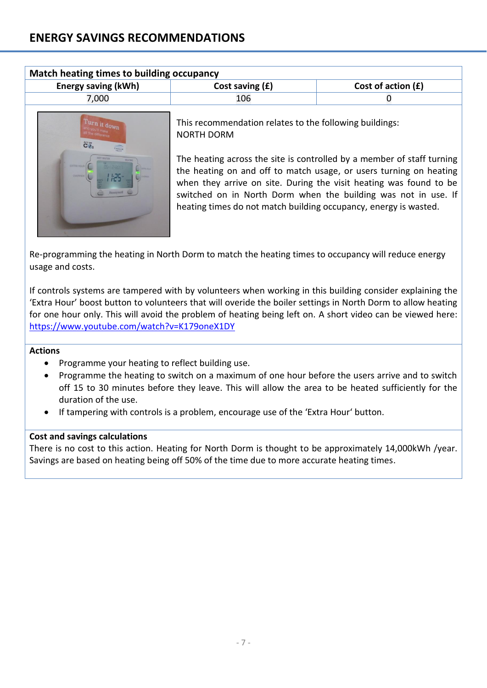| <b>Energy saving (kWh)</b>                 | Cost saving $(f)$                                                                                                                                                                                                                                                                    | Cost of action $(f)$ |
|--------------------------------------------|--------------------------------------------------------------------------------------------------------------------------------------------------------------------------------------------------------------------------------------------------------------------------------------|----------------------|
| 7,000                                      | 106                                                                                                                                                                                                                                                                                  |                      |
| $\ddot{\mathbf{C}}$ <sup>3</sup><br>CARLOS | This recommendation relates to the following buildings:<br><b>NORTH DORM</b>                                                                                                                                                                                                         |                      |
| <b>EXTRA HOUR</b><br>OVERFIL               | The heating across the site is controlled by a member of staff turning<br>the heating on and off to match usage, or users turning on heating<br>when they arrive on site. During the visit heating was found to be<br>switched on in North Dorm when the building was not in use. If |                      |

Re-programming the heating in North Dorm to match the heating times to occupancy will reduce energy usage and costs.

If controls systems are tampered with by volunteers when working in this building consider explaining the 'Extra Hour' boost button to volunteers that will overide the boiler settings in North Dorm to allow heating for one hour only. This will avoid the problem of heating being left on. A short video can be viewed here: <https://www.youtube.com/watch?v=K179oneX1DY>

## **Actions**

- Programme your heating to reflect building use.
- Programme the heating to switch on a maximum of one hour before the users arrive and to switch off 15 to 30 minutes before they leave. This will allow the area to be heated sufficiently for the duration of the use.
- If tampering with controls is a problem, encourage use of the 'Extra Hour' button.

#### **Cost and savings calculations**

There is no cost to this action. Heating for North Dorm is thought to be approximately 14,000kWh /year. Savings are based on heating being off 50% of the time due to more accurate heating times.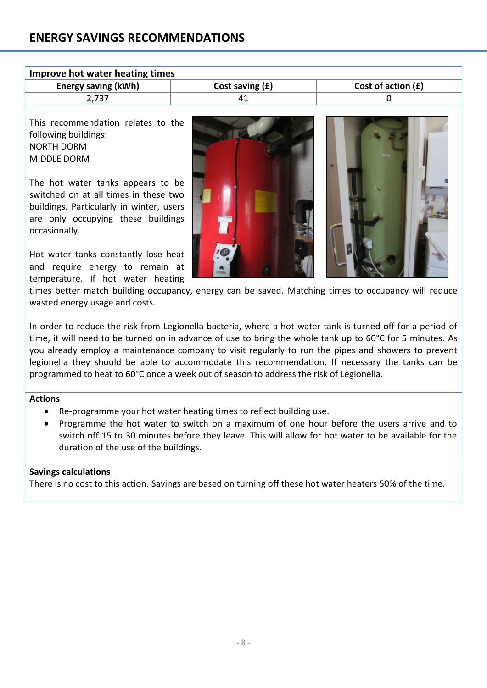| Improve hot water heating times |                   |                      |  |
|---------------------------------|-------------------|----------------------|--|
| <b>Energy saving (kWh)</b>      | Cost saving $(f)$ | Cost of action $(f)$ |  |
| 2,737                           |                   |                      |  |

This recommendation relates to the following buildings: NORTH DORM MIDDLE DORM

The hot water tanks appears to be switched on at all times in these two buildings. Particularly in winter, users are only occupying these buildings occasionally.

Hot water tanks constantly lose heat and require energy to remain at temperature. If hot water heating



times better match building occupancy, energy can be saved. Matching times to occupancy will reduce wasted energy usage and costs.

In order to reduce the risk from Legionella bacteria, where a hot water tank is turned off for a period of time, it will need to be turned on in advance of use to bring the whole tank up to 60°C for 5 minutes. As you already employ a maintenance company to visit regularly to run the pipes and showers to prevent legionella they should be able to accommodate this recommendation. If necessary the tanks can be programmed to heat to 60°C once a week out of season to address the risk of Legionella.

#### **Actions**

- Re-programme your hot water heating times to reflect building use.
- Programme the hot water to switch on a maximum of one hour before the users arrive and to switch off 15 to 30 minutes before they leave. This will allow for hot water to be available for the duration of the use of the buildings.

## **Savings calculations**

There is no cost to this action. Savings are based on turning off these hot water heaters 50% of the time.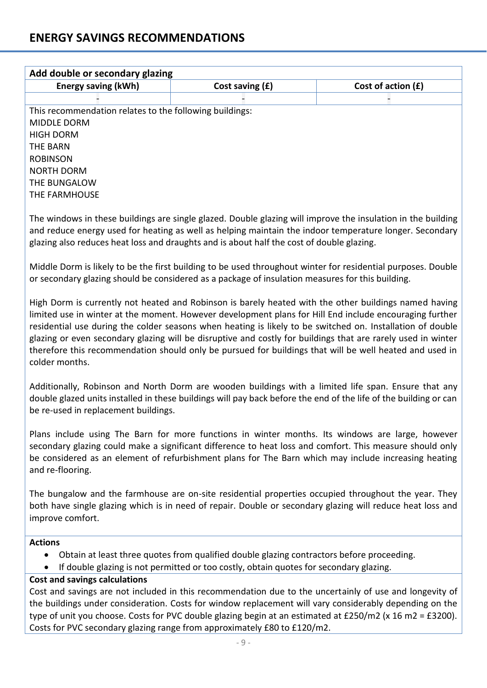| Add double or secondary glazing                                                                                                                                                                                                                                                                                                                                                                                                                                                                                                                                             |                                                                                                                                                                                     |                                                                                                                                                                                                                                                                                                                                 |
|-----------------------------------------------------------------------------------------------------------------------------------------------------------------------------------------------------------------------------------------------------------------------------------------------------------------------------------------------------------------------------------------------------------------------------------------------------------------------------------------------------------------------------------------------------------------------------|-------------------------------------------------------------------------------------------------------------------------------------------------------------------------------------|---------------------------------------------------------------------------------------------------------------------------------------------------------------------------------------------------------------------------------------------------------------------------------------------------------------------------------|
| <b>Energy saving (kWh)</b>                                                                                                                                                                                                                                                                                                                                                                                                                                                                                                                                                  | Cost saving (£)                                                                                                                                                                     | Cost of action $(f)$                                                                                                                                                                                                                                                                                                            |
|                                                                                                                                                                                                                                                                                                                                                                                                                                                                                                                                                                             |                                                                                                                                                                                     |                                                                                                                                                                                                                                                                                                                                 |
| This recommendation relates to the following buildings:<br><b>MIDDLE DORM</b><br><b>HIGH DORM</b><br><b>THE BARN</b><br><b>ROBINSON</b><br><b>NORTH DORM</b><br>THE BUNGALOW<br>THE FARMHOUSE                                                                                                                                                                                                                                                                                                                                                                               |                                                                                                                                                                                     |                                                                                                                                                                                                                                                                                                                                 |
|                                                                                                                                                                                                                                                                                                                                                                                                                                                                                                                                                                             | glazing also reduces heat loss and draughts and is about half the cost of double glazing.                                                                                           | The windows in these buildings are single glazed. Double glazing will improve the insulation in the building<br>and reduce energy used for heating as well as helping maintain the indoor temperature longer. Secondary                                                                                                         |
|                                                                                                                                                                                                                                                                                                                                                                                                                                                                                                                                                                             | or secondary glazing should be considered as a package of insulation measures for this building.                                                                                    | Middle Dorm is likely to be the first building to be used throughout winter for residential purposes. Double                                                                                                                                                                                                                    |
| High Dorm is currently not heated and Robinson is barely heated with the other buildings named having<br>limited use in winter at the moment. However development plans for Hill End include encouraging further<br>residential use during the colder seasons when heating is likely to be switched on. Installation of double<br>glazing or even secondary glazing will be disruptive and costly for buildings that are rarely used in winter<br>therefore this recommendation should only be pursued for buildings that will be well heated and used in<br>colder months. |                                                                                                                                                                                     |                                                                                                                                                                                                                                                                                                                                 |
| Additionally, Robinson and North Dorm are wooden buildings with a limited life span. Ensure that any<br>double glazed units installed in these buildings will pay back before the end of the life of the building or can<br>be re-used in replacement buildings.                                                                                                                                                                                                                                                                                                            |                                                                                                                                                                                     |                                                                                                                                                                                                                                                                                                                                 |
| Plans include using The Barn for more functions in winter months. Its windows are large, however<br>secondary glazing could make a significant difference to heat loss and comfort. This measure should only<br>be considered as an element of refurbishment plans for The Barn which may include increasing heating<br>and re-flooring.                                                                                                                                                                                                                                    |                                                                                                                                                                                     |                                                                                                                                                                                                                                                                                                                                 |
| The bungalow and the farmhouse are on-site residential properties occupied throughout the year. They<br>both have single glazing which is in need of repair. Double or secondary glazing will reduce heat loss and<br>improve comfort.                                                                                                                                                                                                                                                                                                                                      |                                                                                                                                                                                     |                                                                                                                                                                                                                                                                                                                                 |
| <b>Actions</b>                                                                                                                                                                                                                                                                                                                                                                                                                                                                                                                                                              | Obtain at least three quotes from qualified double glazing contractors before proceeding.<br>If double glazing is not permitted or too costly, obtain quotes for secondary glazing. |                                                                                                                                                                                                                                                                                                                                 |
| <b>Cost and savings calculations</b>                                                                                                                                                                                                                                                                                                                                                                                                                                                                                                                                        | Costs for PVC secondary glazing range from approximately £80 to £120/m2.                                                                                                            | Cost and savings are not included in this recommendation due to the uncertainly of use and longevity of<br>the buildings under consideration. Costs for window replacement will vary considerably depending on the<br>type of unit you choose. Costs for PVC double glazing begin at an estimated at £250/m2 (x 16 m2 = £3200). |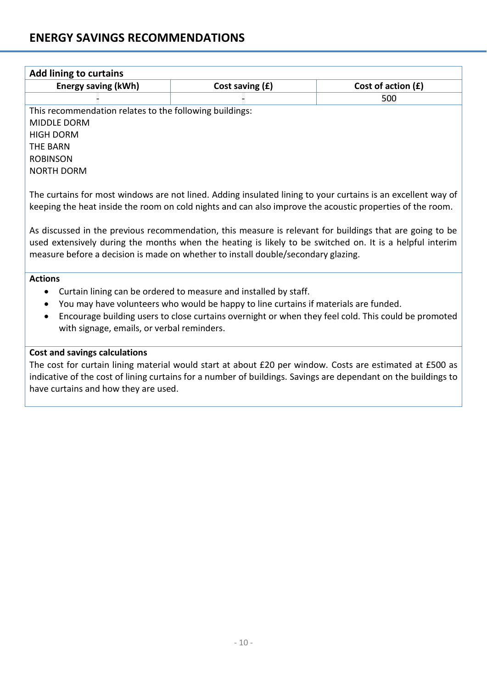| <b>Add lining to curtains</b>                                                                                                                     |                                                                                      |                                                                                                                                                                                                                      |  |  |
|---------------------------------------------------------------------------------------------------------------------------------------------------|--------------------------------------------------------------------------------------|----------------------------------------------------------------------------------------------------------------------------------------------------------------------------------------------------------------------|--|--|
| <b>Energy saving (kWh)</b>                                                                                                                        | Cost saving (£)                                                                      | Cost of action (£)                                                                                                                                                                                                   |  |  |
|                                                                                                                                                   |                                                                                      | 500                                                                                                                                                                                                                  |  |  |
| This recommendation relates to the following buildings:                                                                                           |                                                                                      |                                                                                                                                                                                                                      |  |  |
| <b>MIDDLE DORM</b>                                                                                                                                |                                                                                      |                                                                                                                                                                                                                      |  |  |
| <b>HIGH DORM</b>                                                                                                                                  |                                                                                      |                                                                                                                                                                                                                      |  |  |
| <b>THE BARN</b>                                                                                                                                   |                                                                                      |                                                                                                                                                                                                                      |  |  |
| <b>ROBINSON</b>                                                                                                                                   |                                                                                      |                                                                                                                                                                                                                      |  |  |
| <b>NORTH DORM</b>                                                                                                                                 |                                                                                      |                                                                                                                                                                                                                      |  |  |
| measure before a decision is made on whether to install double/secondary glazing.                                                                 |                                                                                      | As discussed in the previous recommendation, this measure is relevant for buildings that are going to be<br>used extensively during the months when the heating is likely to be switched on. It is a helpful interim |  |  |
| <b>Actions</b>                                                                                                                                    |                                                                                      |                                                                                                                                                                                                                      |  |  |
| $\bullet$                                                                                                                                         | Curtain lining can be ordered to measure and installed by staff.                     |                                                                                                                                                                                                                      |  |  |
| $\bullet$<br>$\bullet$                                                                                                                            | You may have volunteers who would be happy to line curtains if materials are funded. |                                                                                                                                                                                                                      |  |  |
| Encourage building users to close curtains overnight or when they feel cold. This could be promoted<br>with signage, emails, or verbal reminders. |                                                                                      |                                                                                                                                                                                                                      |  |  |
|                                                                                                                                                   |                                                                                      |                                                                                                                                                                                                                      |  |  |
| <b>Cost and savings calculations</b>                                                                                                              |                                                                                      |                                                                                                                                                                                                                      |  |  |
|                                                                                                                                                   |                                                                                      | The cost for curtain lining material would start at about £20 per window. Costs are estimated at £500 as                                                                                                             |  |  |
|                                                                                                                                                   |                                                                                      | indicative of the cost of lining curtains for a number of buildings. Savings are dependant on the buildings to                                                                                                       |  |  |
| have curtains and how they are used.                                                                                                              |                                                                                      |                                                                                                                                                                                                                      |  |  |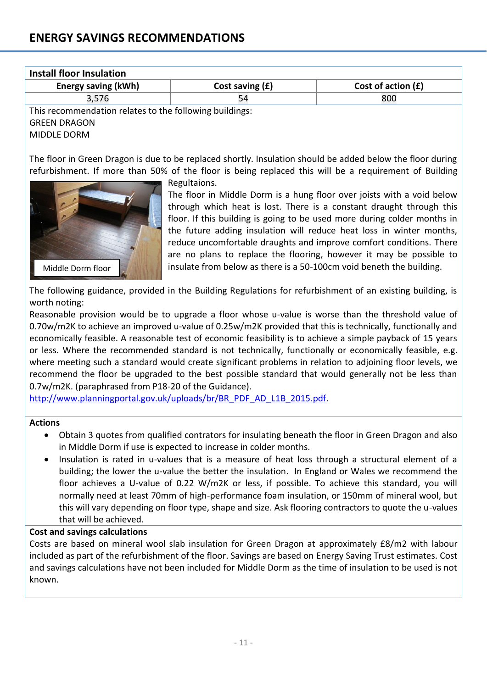| Install floor Insulation                                |                   |                      |  |  |
|---------------------------------------------------------|-------------------|----------------------|--|--|
| <b>Energy saving (kWh)</b>                              | Cost saving $(f)$ | Cost of action $(f)$ |  |  |
| 3,576                                                   |                   | 800                  |  |  |
| This recommendation relates to the following buildings: |                   |                      |  |  |
| <b>GREEN DRAGON</b>                                     |                   |                      |  |  |

MIDDLE DORM

Middle Dorm floor

The floor in Green Dragon is due to be replaced shortly. Insulation should be added below the floor during refurbishment. If more than 50% of the floor is being replaced this will be a requirement of Building

Regultaions.



The following guidance, provided in the Building Regulations for refurbishment of an existing building, is worth noting:

Reasonable provision would be to upgrade a floor whose u-value is worse than the threshold value of 0.70w/m2K to achieve an improved u-value of 0.25w/m2K provided that this is technically, functionally and economically feasible. A reasonable test of economic feasibility is to achieve a simple payback of 15 years or less. Where the recommended standard is not technically, functionally or economically feasible, e.g. where meeting such a standard would create significant problems in relation to adjoining floor levels, we recommend the floor be upgraded to the best possible standard that would generally not be less than 0.7w/m2K. (paraphrased from P18-20 of the Guidance).

[http://www.planningportal.gov.uk/uploads/br/BR\\_PDF\\_AD\\_L1B\\_2015.pdf.](http://www.planningportal.gov.uk/uploads/br/BR_PDF_AD_L1B_2015.pdf)

#### **Actions**

- Obtain 3 quotes from qualified contrators for insulating beneath the floor in Green Dragon and also in Middle Dorm if use is expected to increase in colder months.
- Insulation is rated in u-values that is a measure of heat loss through a structural element of a building; the lower the u-value the better the insulation. In England or Wales we recommend the floor achieves a U-value of 0.22 W/m2K or less, if possible. To achieve this standard, you will normally need at least 70mm of high-performance foam insulation, or 150mm of mineral wool, but this will vary depending on floor type, shape and size. Ask flooring contractors to quote the u-values that will be achieved.

#### **Cost and savings calculations**

Costs are based on mineral wool slab insulation for Green Dragon at approximately £8/m2 with labour included as part of the refurbishment of the floor. Savings are based on Energy Saving Trust estimates. Cost and savings calculations have not been included for Middle Dorm as the time of insulation to be used is not known.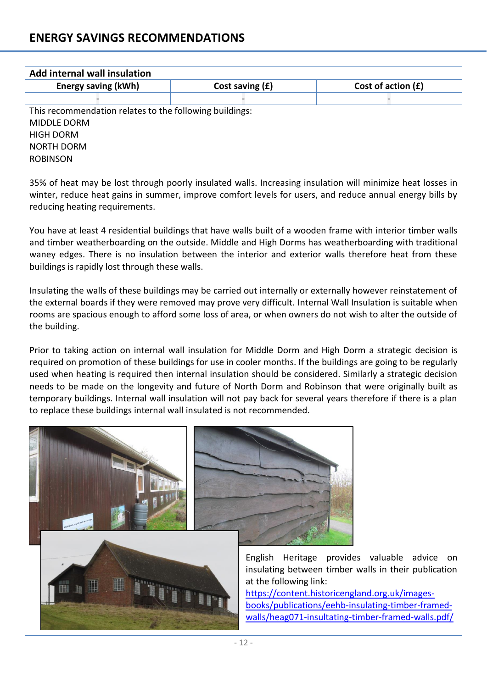| <b>Add internal wall insulation</b>                                                                                                                                                                                                                                                                                                                                                                                                                                                                                                                                                                                                           |                 |                    |
|-----------------------------------------------------------------------------------------------------------------------------------------------------------------------------------------------------------------------------------------------------------------------------------------------------------------------------------------------------------------------------------------------------------------------------------------------------------------------------------------------------------------------------------------------------------------------------------------------------------------------------------------------|-----------------|--------------------|
| <b>Energy saving (kWh)</b>                                                                                                                                                                                                                                                                                                                                                                                                                                                                                                                                                                                                                    | Cost saving (£) | Cost of action (£) |
|                                                                                                                                                                                                                                                                                                                                                                                                                                                                                                                                                                                                                                               |                 |                    |
| This recommendation relates to the following buildings:                                                                                                                                                                                                                                                                                                                                                                                                                                                                                                                                                                                       |                 |                    |
| <b>MIDDLE DORM</b>                                                                                                                                                                                                                                                                                                                                                                                                                                                                                                                                                                                                                            |                 |                    |
| <b>HIGH DORM</b>                                                                                                                                                                                                                                                                                                                                                                                                                                                                                                                                                                                                                              |                 |                    |
| <b>NORTH DORM</b>                                                                                                                                                                                                                                                                                                                                                                                                                                                                                                                                                                                                                             |                 |                    |
| <b>ROBINSON</b>                                                                                                                                                                                                                                                                                                                                                                                                                                                                                                                                                                                                                               |                 |                    |
| 35% of heat may be lost through poorly insulated walls. Increasing insulation will minimize heat losses in<br>winter, reduce heat gains in summer, improve comfort levels for users, and reduce annual energy bills by<br>reducing heating requirements.                                                                                                                                                                                                                                                                                                                                                                                      |                 |                    |
| You have at least 4 residential buildings that have walls built of a wooden frame with interior timber walls<br>and timber weatherboarding on the outside. Middle and High Dorms has weatherboarding with traditional<br>waney edges. There is no insulation between the interior and exterior walls therefore heat from these<br>buildings is rapidly lost through these walls.                                                                                                                                                                                                                                                              |                 |                    |
| Insulating the walls of these buildings may be carried out internally or externally however reinstatement of<br>the external boards if they were removed may prove very difficult. Internal Wall Insulation is suitable when<br>rooms are spacious enough to afford some loss of area, or when owners do not wish to alter the outside of<br>the building.                                                                                                                                                                                                                                                                                    |                 |                    |
| Prior to taking action on internal wall insulation for Middle Dorm and High Dorm a strategic decision is<br>required on promotion of these buildings for use in cooler months. If the buildings are going to be regularly<br>used when heating is required then internal insulation should be considered. Similarly a strategic decision<br>needs to be made on the longevity and future of North Dorm and Robinson that were originally built as<br>temporary buildings. Internal wall insulation will not pay back for several years therefore if there is a plan<br>to replace these buildings internal wall insulated is not recommended. |                 |                    |

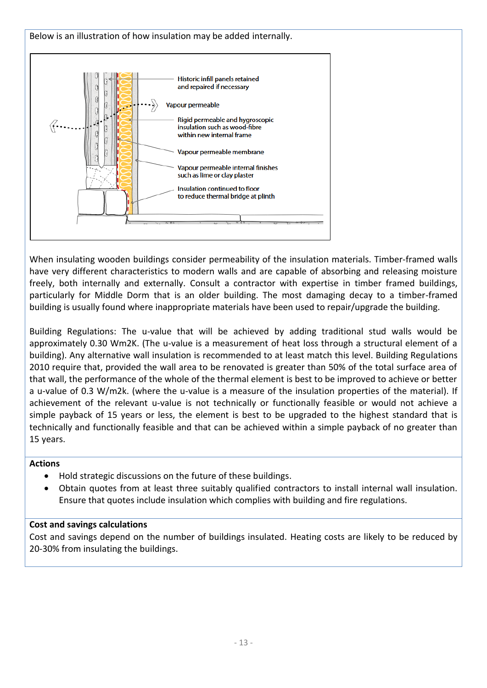

When insulating wooden buildings consider permeability of the insulation materials. Timber-framed walls have very different characteristics to modern walls and are capable of absorbing and releasing moisture freely, both internally and externally. Consult a contractor with expertise in timber framed buildings, particularly for Middle Dorm that is an older building. The most damaging decay to a timber-framed building is usually found where inappropriate materials have been used to repair/upgrade the building.

Building Regulations: The u-value that will be achieved by adding traditional stud walls would be approximately 0.30 Wm2K. (The u-value is a measurement of heat loss through a structural element of a building). Any alternative wall insulation is recommended to at least match this level. Building Regulations 2010 require that, provided the wall area to be renovated is greater than 50% of the total surface area of that wall, the performance of the whole of the thermal element is best to be improved to achieve or better a u-value of 0.3 W/m2k. (where the u-value is a measure of the insulation properties of the material). If achievement of the relevant u-value is not technically or functionally feasible or would not achieve a simple payback of 15 years or less, the element is best to be upgraded to the highest standard that is technically and functionally feasible and that can be achieved within a simple payback of no greater than 15 years.

## **Actions**

- Hold strategic discussions on the future of these buildings.
- Obtain quotes from at least three suitably qualified contractors to install internal wall insulation. Ensure that quotes include insulation which complies with building and fire regulations.

## **Cost and savings calculations**

Cost and savings depend on the number of buildings insulated. Heating costs are likely to be reduced by 20-30% from insulating the buildings.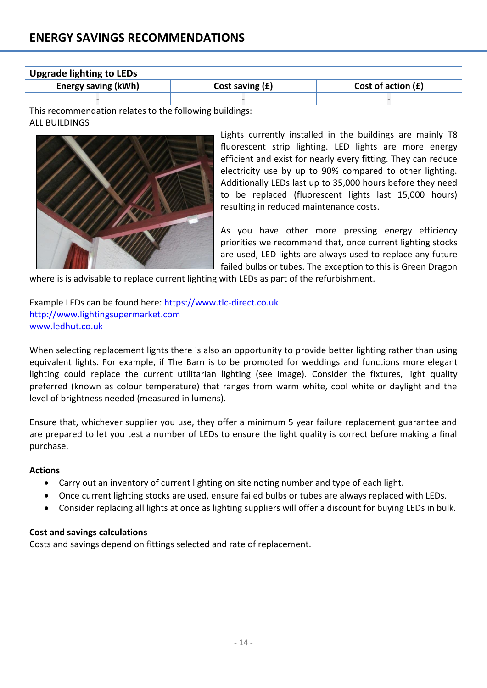| <b>Upgrade lighting to LEDs</b> |                   |                      |
|---------------------------------|-------------------|----------------------|
| <b>Energy saving (kWh)</b>      | Cost saving $(f)$ | Cost of action $(E)$ |
|                                 |                   |                      |

This recommendation relates to the following buildings: ALL BUILDINGS



Lights currently installed in the buildings are mainly T8 fluorescent strip lighting. LED lights are more energy efficient and exist for nearly every fitting. They can reduce electricity use by up to 90% compared to other lighting. Additionally LEDs last up to 35,000 hours before they need to be replaced (fluorescent lights last 15,000 hours) resulting in reduced maintenance costs.

As you have other more pressing energy efficiency priorities we recommend that, once current lighting stocks are used, LED lights are always used to replace any future failed bulbs or tubes. The exception to this is Green Dragon

where is is advisable to replace current lighting with LEDs as part of the refurbishment.

Example LEDs can be found here[: https://www.tlc-direct.co.uk](https://www.tlc-direct.co.uk/) [http://www.lightingsupermarket.com](http://www.lightingsupermarket.com/) [www.ledhut.co.uk](http://www.ledhut.co.uk/)

When selecting replacement lights there is also an opportunity to provide better lighting rather than using equivalent lights. For example, if The Barn is to be promoted for weddings and functions more elegant lighting could replace the current utilitarian lighting (see image). Consider the fixtures, light quality preferred (known as colour temperature) that ranges from warm white, cool white or daylight and the level of brightness needed (measured in lumens).

Ensure that, whichever supplier you use, they offer a minimum 5 year failure replacement guarantee and are prepared to let you test a number of LEDs to ensure the light quality is correct before making a final purchase.

#### **Actions**

- Carry out an inventory of current lighting on site noting number and type of each light.
- Once current lighting stocks are used, ensure failed bulbs or tubes are always replaced with LEDs.
- Consider replacing all lights at once as lighting suppliers will offer a discount for buying LEDs in bulk.

#### **Cost and savings calculations**

Costs and savings depend on fittings selected and rate of replacement.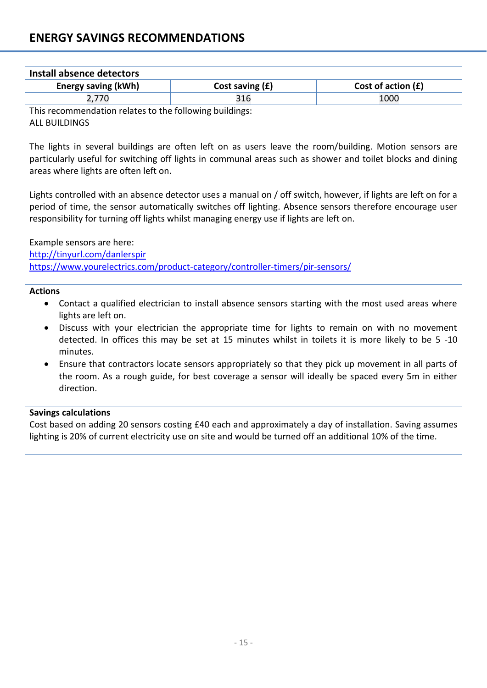| <b>Energy saving (kWh)</b><br>2,770<br>This recommendation relates to the following buildings:<br><b>ALL BUILDINGS</b><br>The lights in several buildings are often left on as users leave the room/building. Motion sensors are<br>particularly useful for switching off lights in communal areas such as shower and toilet blocks and dining<br>areas where lights are often left on.<br>Lights controlled with an absence detector uses a manual on / off switch, however, if lights are left on for a<br>period of time, the sensor automatically switches off lighting. Absence sensors therefore encourage user<br>responsibility for turning off lights whilst managing energy use if lights are left on.<br>Example sensors are here:<br>http://tinyurl.com/danlerspir | Cost saving (£)<br>316 | Cost of action (£)<br>1000 |  |  |
|--------------------------------------------------------------------------------------------------------------------------------------------------------------------------------------------------------------------------------------------------------------------------------------------------------------------------------------------------------------------------------------------------------------------------------------------------------------------------------------------------------------------------------------------------------------------------------------------------------------------------------------------------------------------------------------------------------------------------------------------------------------------------------|------------------------|----------------------------|--|--|
|                                                                                                                                                                                                                                                                                                                                                                                                                                                                                                                                                                                                                                                                                                                                                                                |                        |                            |  |  |
|                                                                                                                                                                                                                                                                                                                                                                                                                                                                                                                                                                                                                                                                                                                                                                                |                        |                            |  |  |
|                                                                                                                                                                                                                                                                                                                                                                                                                                                                                                                                                                                                                                                                                                                                                                                |                        |                            |  |  |
|                                                                                                                                                                                                                                                                                                                                                                                                                                                                                                                                                                                                                                                                                                                                                                                |                        |                            |  |  |
|                                                                                                                                                                                                                                                                                                                                                                                                                                                                                                                                                                                                                                                                                                                                                                                |                        |                            |  |  |
|                                                                                                                                                                                                                                                                                                                                                                                                                                                                                                                                                                                                                                                                                                                                                                                |                        |                            |  |  |
|                                                                                                                                                                                                                                                                                                                                                                                                                                                                                                                                                                                                                                                                                                                                                                                |                        |                            |  |  |
|                                                                                                                                                                                                                                                                                                                                                                                                                                                                                                                                                                                                                                                                                                                                                                                |                        |                            |  |  |
|                                                                                                                                                                                                                                                                                                                                                                                                                                                                                                                                                                                                                                                                                                                                                                                |                        |                            |  |  |
|                                                                                                                                                                                                                                                                                                                                                                                                                                                                                                                                                                                                                                                                                                                                                                                |                        |                            |  |  |
|                                                                                                                                                                                                                                                                                                                                                                                                                                                                                                                                                                                                                                                                                                                                                                                |                        |                            |  |  |
|                                                                                                                                                                                                                                                                                                                                                                                                                                                                                                                                                                                                                                                                                                                                                                                |                        |                            |  |  |
| https://www.yourelectrics.com/product-category/controller-timers/pir-sensors/                                                                                                                                                                                                                                                                                                                                                                                                                                                                                                                                                                                                                                                                                                  |                        |                            |  |  |
|                                                                                                                                                                                                                                                                                                                                                                                                                                                                                                                                                                                                                                                                                                                                                                                |                        |                            |  |  |
| <b>Actions</b>                                                                                                                                                                                                                                                                                                                                                                                                                                                                                                                                                                                                                                                                                                                                                                 |                        |                            |  |  |
| Contact a qualified electrician to install absence sensors starting with the most used areas where<br>$\bullet$<br>lights are left on.                                                                                                                                                                                                                                                                                                                                                                                                                                                                                                                                                                                                                                         |                        |                            |  |  |
| Discuss with your electrician the appropriate time for lights to remain on with no movement                                                                                                                                                                                                                                                                                                                                                                                                                                                                                                                                                                                                                                                                                    |                        |                            |  |  |
| detected. In offices this may be set at 15 minutes whilst in toilets it is more likely to be 5 -10                                                                                                                                                                                                                                                                                                                                                                                                                                                                                                                                                                                                                                                                             |                        |                            |  |  |
| minutes.                                                                                                                                                                                                                                                                                                                                                                                                                                                                                                                                                                                                                                                                                                                                                                       |                        |                            |  |  |
| Ensure that contractors locate sensors appropriately so that they pick up movement in all parts of                                                                                                                                                                                                                                                                                                                                                                                                                                                                                                                                                                                                                                                                             |                        |                            |  |  |
| the room. As a rough guide, for best coverage a sensor will ideally be spaced every 5m in either                                                                                                                                                                                                                                                                                                                                                                                                                                                                                                                                                                                                                                                                               |                        |                            |  |  |
| direction.                                                                                                                                                                                                                                                                                                                                                                                                                                                                                                                                                                                                                                                                                                                                                                     |                        |                            |  |  |
| <b>Savings calculations</b>                                                                                                                                                                                                                                                                                                                                                                                                                                                                                                                                                                                                                                                                                                                                                    |                        |                            |  |  |
| Cost based on adding 20 sensors costing £40 each and approximately a day of installation. Saving assumes                                                                                                                                                                                                                                                                                                                                                                                                                                                                                                                                                                                                                                                                       |                        |                            |  |  |
| lighting is 20% of current electricity use on site and would be turned off an additional 10% of the time.                                                                                                                                                                                                                                                                                                                                                                                                                                                                                                                                                                                                                                                                      |                        |                            |  |  |
|                                                                                                                                                                                                                                                                                                                                                                                                                                                                                                                                                                                                                                                                                                                                                                                |                        |                            |  |  |
|                                                                                                                                                                                                                                                                                                                                                                                                                                                                                                                                                                                                                                                                                                                                                                                |                        |                            |  |  |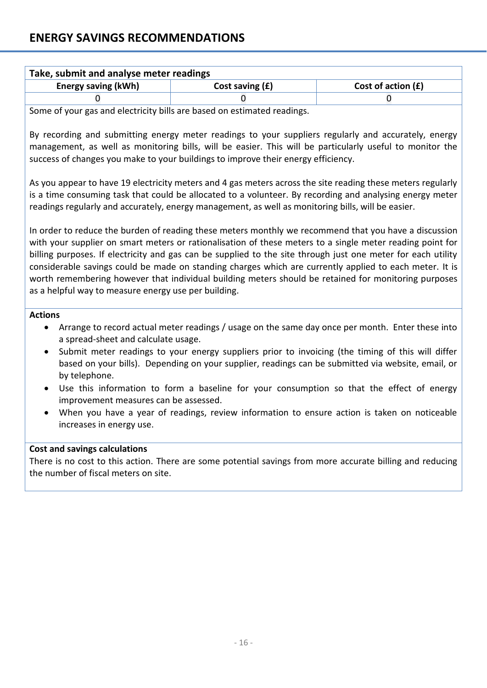| Take, submit and analyse meter readings                                                 |                   |                      |  |  |
|-----------------------------------------------------------------------------------------|-------------------|----------------------|--|--|
| <b>Energy saving (kWh)</b>                                                              | Cost saving $(f)$ | Cost of action $(f)$ |  |  |
|                                                                                         |                   |                      |  |  |
| وموزاه وموالهم والمتحاوم والمواطئ والمستور والنطار بالمنافذ والمستروح والمسترقص والمسوى |                   |                      |  |  |

Some of your gas and electricity bills are based on estimated readings.

By recording and submitting energy meter readings to your suppliers regularly and accurately, energy management, as well as monitoring bills, will be easier. This will be particularly useful to monitor the success of changes you make to your buildings to improve their energy efficiency.

As you appear to have 19 electricity meters and 4 gas meters across the site reading these meters regularly is a time consuming task that could be allocated to a volunteer. By recording and analysing energy meter readings regularly and accurately, energy management, as well as monitoring bills, will be easier.

In order to reduce the burden of reading these meters monthly we recommend that you have a discussion with your supplier on smart meters or rationalisation of these meters to a single meter reading point for billing purposes. If electricity and gas can be supplied to the site through just one meter for each utility considerable savings could be made on standing charges which are currently applied to each meter. It is worth remembering however that individual building meters should be retained for monitoring purposes as a helpful way to measure energy use per building.

#### **Actions**

- Arrange to record actual meter readings / usage on the same day once per month. Enter these into a spread-sheet and calculate usage.
- Submit meter readings to your energy suppliers prior to invoicing (the timing of this will differ based on your bills). Depending on your supplier, readings can be submitted via website, email, or by telephone.
- Use this information to form a baseline for your consumption so that the effect of energy improvement measures can be assessed.
- When you have a year of readings, review information to ensure action is taken on noticeable increases in energy use.

#### **Cost and savings calculations**

There is no cost to this action. There are some potential savings from more accurate billing and reducing the number of fiscal meters on site.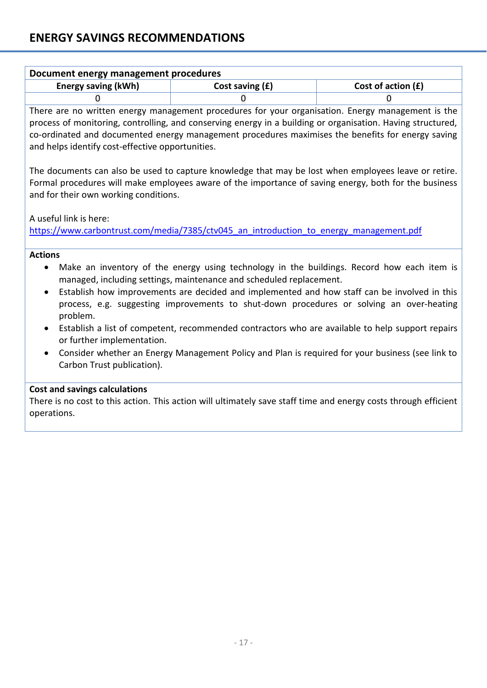| Document energy management procedures |                   |                      |  |  |
|---------------------------------------|-------------------|----------------------|--|--|
| <b>Energy saving (kWh)</b>            | Cost saving $(f)$ | Cost of action $(f)$ |  |  |
|                                       |                   |                      |  |  |

There are no written energy management procedures for your organisation. Energy management is the process of monitoring, controlling, and conserving energy in a building or organisation. Having structured, co-ordinated and documented energy management procedures maximises the benefits for energy saving and helps identify cost-effective opportunities.

The documents can also be used to capture knowledge that may be lost when employees leave or retire. Formal procedures will make employees aware of the importance of saving energy, both for the business and for their own working conditions.

A useful link is here:

https://www.carbontrust.com/media/7385/ctv045 an introduction to energy management.pdf

#### **Actions**

- Make an inventory of the energy using technology in the buildings. Record how each item is managed, including settings, maintenance and scheduled replacement.
- Establish how improvements are decided and implemented and how staff can be involved in this process, e.g. suggesting improvements to shut-down procedures or solving an over-heating problem.
- Establish a list of competent, recommended contractors who are available to help support repairs or further implementation.
- Consider whether an Energy Management Policy and Plan is required for your business (see link to Carbon Trust publication).

## **Cost and savings calculations**

There is no cost to this action. This action will ultimately save staff time and energy costs through efficient operations.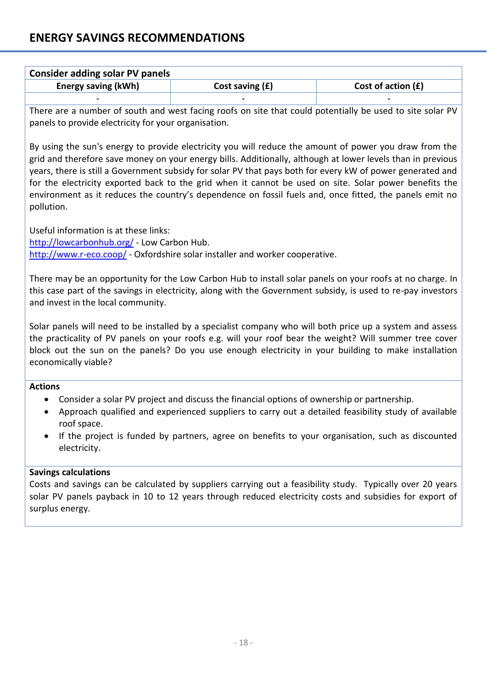| <b>Consider adding solar PV panels</b> |                   |                      |  |  |
|----------------------------------------|-------------------|----------------------|--|--|
| <b>Energy saving (kWh)</b>             | Cost saving $(f)$ | Cost of action $(f)$ |  |  |
|                                        |                   |                      |  |  |

There are a number of south and west facing roofs on site that could potentially be used to site solar PV panels to provide electricity for your organisation.

By using the sun's energy to provide electricity you will reduce the amount of power you draw from the grid and therefore save money on your energy bills. Additionally, although at lower levels than in previous years, there is still a Government subsidy for solar PV that pays both for every kW of power generated and for the electricity exported back to the grid when it cannot be used on site. Solar power benefits the environment as it reduces the country's dependence on fossil fuels and, once fitted, the panels emit no pollution.

Useful information is at these links: <http://lowcarbonhub.org/> - Low Carbon Hub. <http://www.r-eco.coop/> - Oxfordshire solar installer and worker cooperative.

There may be an opportunity for the Low Carbon Hub to install solar panels on your roofs at no charge. In this case part of the savings in electricity, along with the Government subsidy, is used to re-pay investors and invest in the local community.

Solar panels will need to be installed by a specialist company who will both price up a system and assess the practicality of PV panels on your roofs e.g. will your roof bear the weight? Will summer tree cover block out the sun on the panels? Do you use enough electricity in your building to make installation economically viable?

**Actions**

- Consider a solar PV project and discuss the financial options of ownership or partnership.
- Approach qualified and experienced suppliers to carry out a detailed feasibility study of available roof space.
- If the project is funded by partners, agree on benefits to your organisation, such as discounted electricity.

## **Savings calculations**

Costs and savings can be calculated by suppliers carrying out a feasibility study. Typically over 20 years solar PV panels payback in 10 to 12 years through reduced electricity costs and subsidies for export of surplus energy.